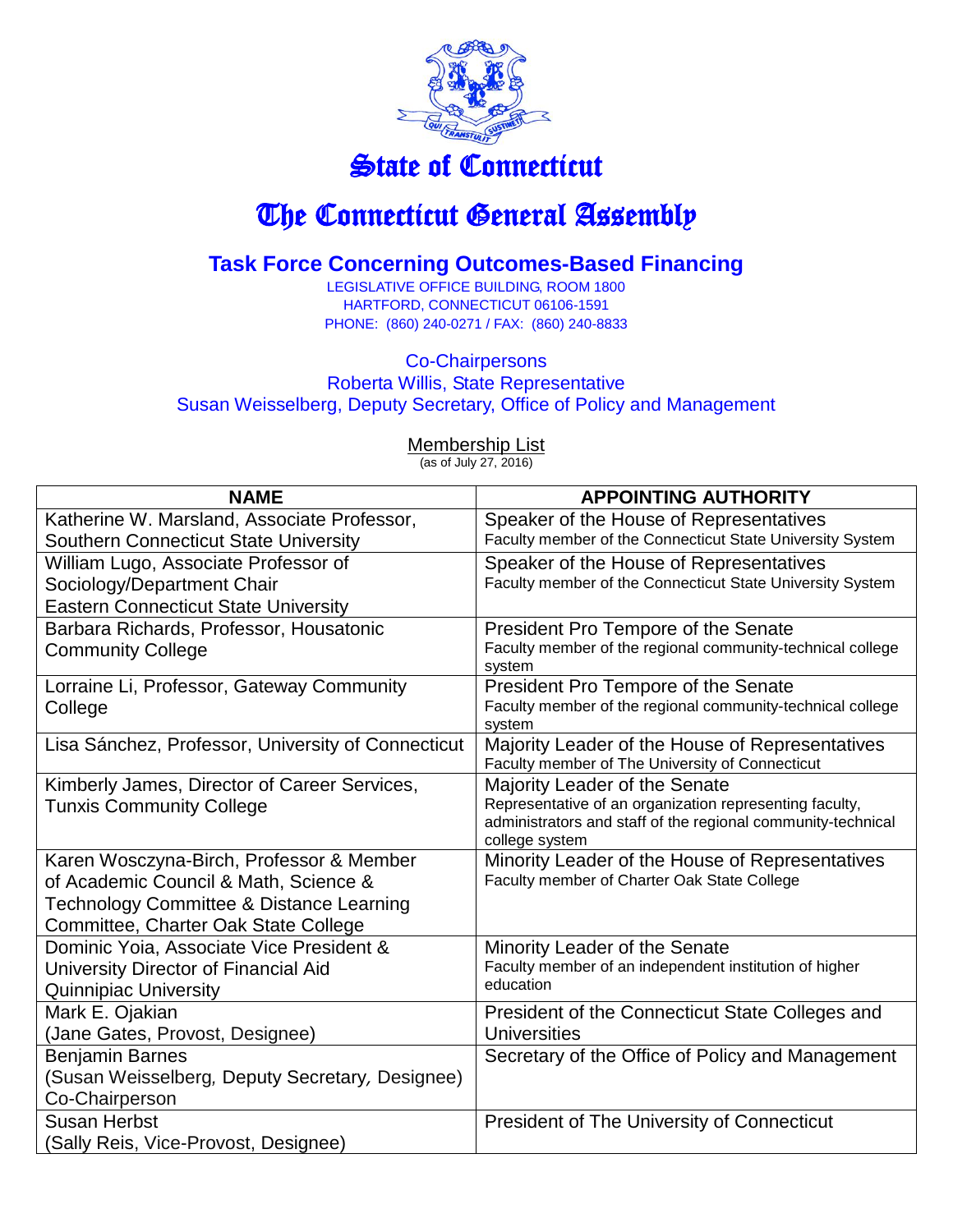

## State of Connecticut

## The Connecticut General Assembly

## **Task Force Concerning Outcomes-Based Financing**

LEGISLATIVE OFFICE BUILDING, ROOM 1800 HARTFORD, CONNECTICUT 06106-1591 PHONE: (860) 240-0271 / FAX: (860) 240-8833

## Co-Chairpersons Roberta Willis, State Representative Susan Weisselberg, Deputy Secretary, Office of Policy and Management

Membership List

(as of July 27, 2016)

| <b>NAME</b>                                        | <b>APPOINTING AUTHORITY</b>                                                                                                               |
|----------------------------------------------------|-------------------------------------------------------------------------------------------------------------------------------------------|
| Katherine W. Marsland, Associate Professor,        | Speaker of the House of Representatives                                                                                                   |
| <b>Southern Connecticut State University</b>       | Faculty member of the Connecticut State University System                                                                                 |
| William Lugo, Associate Professor of               | Speaker of the House of Representatives                                                                                                   |
| Sociology/Department Chair                         | Faculty member of the Connecticut State University System                                                                                 |
| <b>Eastern Connecticut State University</b>        |                                                                                                                                           |
| Barbara Richards, Professor, Housatonic            | President Pro Tempore of the Senate                                                                                                       |
| <b>Community College</b>                           | Faculty member of the regional community-technical college<br>system                                                                      |
| Lorraine Li, Professor, Gateway Community          | President Pro Tempore of the Senate                                                                                                       |
| College                                            | Faculty member of the regional community-technical college<br>system                                                                      |
| Lisa Sánchez, Professor, University of Connecticut | Majority Leader of the House of Representatives                                                                                           |
|                                                    | Faculty member of The University of Connecticut                                                                                           |
| Kimberly James, Director of Career Services,       | Majority Leader of the Senate                                                                                                             |
| <b>Tunxis Community College</b>                    | Representative of an organization representing faculty,<br>administrators and staff of the regional community-technical<br>college system |
| Karen Wosczyna-Birch, Professor & Member           | Minority Leader of the House of Representatives                                                                                           |
| of Academic Council & Math, Science &              | Faculty member of Charter Oak State College                                                                                               |
| Technology Committee & Distance Learning           |                                                                                                                                           |
| Committee, Charter Oak State College               |                                                                                                                                           |
| Dominic Yoia, Associate Vice President &           | Minority Leader of the Senate                                                                                                             |
| University Director of Financial Aid               | Faculty member of an independent institution of higher                                                                                    |
| <b>Quinnipiac University</b>                       | education                                                                                                                                 |
| Mark E. Ojakian                                    | President of the Connecticut State Colleges and                                                                                           |
| (Jane Gates, Provost, Designee)                    | <b>Universities</b>                                                                                                                       |
| <b>Benjamin Barnes</b>                             | Secretary of the Office of Policy and Management                                                                                          |
| (Susan Weisselberg, Deputy Secretary, Designee)    |                                                                                                                                           |
| Co-Chairperson                                     |                                                                                                                                           |
| <b>Susan Herbst</b>                                | President of The University of Connecticut                                                                                                |
| (Sally Reis, Vice-Provost, Designee)               |                                                                                                                                           |